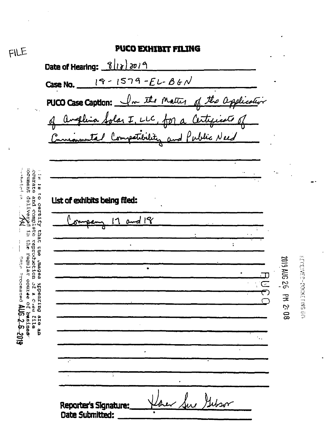| <b>PUCO EXHIBIT FILING</b>                          |                                   |
|-----------------------------------------------------|-----------------------------------|
| Date of Hearing: 8/12/2019                          |                                   |
| $19 - 1579 - E1 - 861$<br>Case No.                  |                                   |
|                                                     |                                   |
| PUCO Case Caption: In the Matter of the application |                                   |
|                                                     |                                   |
|                                                     |                                   |
|                                                     |                                   |
|                                                     |                                   |
| List of exhibits being filed:                       |                                   |
| 17 and 18                                           |                                   |
|                                                     |                                   |
|                                                     |                                   |
|                                                     | <b>SAN 6102</b>                   |
|                                                     | $\frac{1}{2}$<br>$\subseteq$<br>궆 |
|                                                     | 80:7                              |
|                                                     |                                   |
|                                                     |                                   |
|                                                     |                                   |
|                                                     |                                   |
|                                                     |                                   |
|                                                     |                                   |

FILE

 $\hat{\boldsymbol{\beta}}$ 

**U 3**

 $\ddot{\phantom{a}}$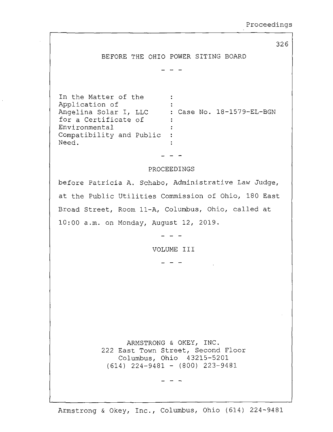326 BEFORE THE OHIO POWER SITING BOARD In the Matter of the<br>Application of  $\sim$   $\sim$   $\sim$  $\mathbb{R}^2$ Application of<br>Angelina Selar Angelina Solar I, LLC : Case No. 18-1579-EL-BGN for <sup>a</sup> Certificate of Environmental  $\ddot{\cdot}$ Compatibility and Public Need.  $\ddot{\cdot}$ PROCEEDINGS before Patricia A. Schabo, Administrative Law Judge, at the Public Utilities Commission of Ohio, <sup>180</sup> East Broad Street, Room 11-A, Columbus, Ohio, called at 10:00 a.m. on Monday, August 12, 2019. VOLUME III  $- - -$ ARMSTRONG & OKEY, INC. 222 East Town Street, Second Floor Columbus, Ohio 43215-5201 (614) 224-9481 - (800) 223-9481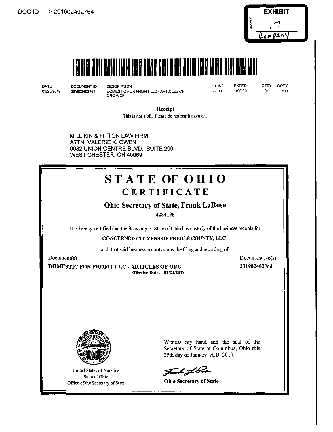



DATE 01/25/2019 DOCUMENT ID DESCRIPTION

201902402764 DOMESTIC FOR PROFIT LLC - ARTICLES OF ORG (LCP)

FILING 99.00 EXPED

100.00

CERT COPY<br>0.00 0.00 0.00 0.00

Receipt

This is not a bill. Please do not remit payment.

**MILLIKIN & FITTON LAW FIRM ATTN: VALERIE K. OWEN 9032 UNION CENTRE BLVD.. SUITE 200 WEST CHESTER. OH 45069**

# STATE OF OHIO **CERTIFICATE**

## Ohio Secretary of State, Frank LaRose

4284195

It is hereby certified that the Secretary of State of Ohio has custody of the business records for

### CONCERNED CITIZENS OF PREBLE COUNTY, LLC

and, that said business records show the filing and recording of:

Document(s)

DOMESTIC FOR PROFIT LLC - ARTICLES OF ORG Effective Date: 01/24/2019 Document No(s): 201902402764



United States of America State of Ohio Office of the Secretary of State

Witness my hand and the seal of the Secretary of State at Columbus, Ohio this 25th day of January, A.D. 2019.

J 1 f bar

Ohio Secretary of State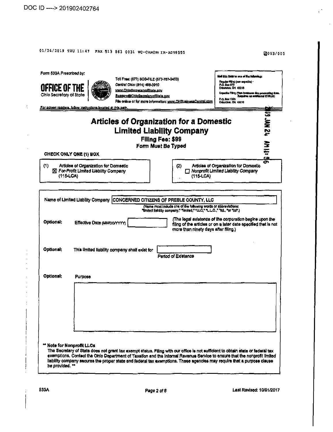$\ddot{\cdot}$ 

 $\overline{\phantom{a}}$ 

 $\overline{\phantom{a}}$ 

## 01/24/2019 THU 11:47 FAX 513 863 0031 WC-CANON: IR-ADV6555

2003/005

 $\mathcal{C}^{\mathcal{C}}$ 

 $\bar{z}$ 

| OFFICE OF THE<br>Ohio Secretary of State<br>For screen readers, follow instructions located at this path. |                |                                                                                 | www.OhloSecretaryofState.cov<br><b>Busserv@Ohk SacrataryofState.cov</b> |                    | File online or for more information; www.OHBusinessCantraLcom                                                                                                       | Expedia Filing (Turo business day processing firm.<br>P.O. Box 1190<br>Columbue, OH 43210 | Requires un sodiusnul (100,00) |
|-----------------------------------------------------------------------------------------------------------|----------------|---------------------------------------------------------------------------------|-------------------------------------------------------------------------|--------------------|---------------------------------------------------------------------------------------------------------------------------------------------------------------------|-------------------------------------------------------------------------------------------|--------------------------------|
|                                                                                                           |                |                                                                                 |                                                                         | Filing Fee: \$99   | <b>Articles of Organization for a Domestic</b><br><b>Limited Liability Company</b>                                                                                  |                                                                                           | <b>12 HW St</b>                |
| CHECK ONLY ONE (1) BOX                                                                                    |                |                                                                                 |                                                                         | Form Must Be Typed |                                                                                                                                                                     |                                                                                           | 出出                             |
| (1)                                                                                                       | $(115-LCA)$    | Articles of Organization for Domestic<br>X For-Profit Limited Liability Company |                                                                         |                    | (2)<br>$(115$ -LCA $)$                                                                                                                                              | Articles of Organization for Domestic<br>□ Nonprofit Limited Liability Company            | ź٨                             |
|                                                                                                           |                |                                                                                 |                                                                         |                    | Name of Limited Liability Company CONCERNED CITIZENS OF PREBLE COUNTY, LLC                                                                                          |                                                                                           |                                |
|                                                                                                           |                |                                                                                 |                                                                         |                    | (Name must include one of the following words or abbreviations:<br>"limited liability company," "limited," "LLC," "L.L.C.," "Itd., "or "itd".)                      |                                                                                           |                                |
|                                                                                                           |                |                                                                                 |                                                                         |                    |                                                                                                                                                                     |                                                                                           |                                |
| Optional:                                                                                                 |                | Effective Date (MM/DD/YYYY)                                                     |                                                                         |                    | (The legal existence of the corporation begins upon the<br>filling of the articles or on a later date specified that is not<br>more than ninety days after filing.) |                                                                                           |                                |
|                                                                                                           |                |                                                                                 | This limited liability company shall exist for                          |                    | Period of Existence                                                                                                                                                 |                                                                                           |                                |
| <b>Optional:</b><br>Optional:                                                                             | <b>Purpose</b> |                                                                                 |                                                                         |                    |                                                                                                                                                                     |                                                                                           |                                |
|                                                                                                           |                |                                                                                 |                                                                         |                    |                                                                                                                                                                     |                                                                                           |                                |
|                                                                                                           |                |                                                                                 |                                                                         |                    |                                                                                                                                                                     |                                                                                           |                                |
|                                                                                                           |                |                                                                                 |                                                                         |                    |                                                                                                                                                                     |                                                                                           |                                |
|                                                                                                           |                |                                                                                 |                                                                         |                    |                                                                                                                                                                     |                                                                                           |                                |
| ** Note for Nonprofit LLCs                                                                                |                |                                                                                 |                                                                         |                    |                                                                                                                                                                     |                                                                                           |                                |

 $\mathcal{L}$ 

Last Revised: 10/01/2017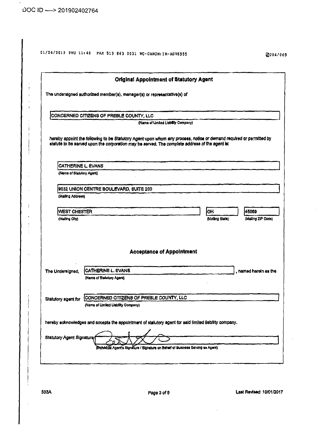$\begin{array}{c} 1 \\ 1 \\ 2 \end{array}$ 

 $\cdot$ 

 $\frac{1}{4}$  $\mathbf i$ 

 $\frac{1}{2}$  $\overline{1}$  $\frac{1}{2}$ j.

|                           | <b>Original Appointment of Statutory Agent</b>                                                                                                                                                                        |                 |                       |
|---------------------------|-----------------------------------------------------------------------------------------------------------------------------------------------------------------------------------------------------------------------|-----------------|-----------------------|
|                           | The undersigned authorized member(s), manager(s) or representative(s) of                                                                                                                                              |                 |                       |
|                           | CONCERNED CITIZENS OF PREBLE COUNTY, LLC                                                                                                                                                                              |                 |                       |
|                           | (Name of Umited Liability Company)                                                                                                                                                                                    |                 |                       |
|                           | hereby appoint the following to be Statutory Agent upon whom any process, notice or demand required or permitted by<br>statute to be served upon the corporation may be served. The complete address of the agent is: |                 |                       |
| CATHERINE L. EVANS        |                                                                                                                                                                                                                       |                 |                       |
| (Name of Statutory Agent) |                                                                                                                                                                                                                       |                 |                       |
|                           | 9032 UNION CENTRE BOULEVARD, SUITE 200                                                                                                                                                                                |                 |                       |
| (Mailing Address)         |                                                                                                                                                                                                                       |                 |                       |
|                           |                                                                                                                                                                                                                       |                 |                       |
| WEST CHESTER              |                                                                                                                                                                                                                       | OH.             | 45069                 |
| (Malling City)            |                                                                                                                                                                                                                       | (Malling State) | (Mailing ZIP Code)    |
|                           | <b>Acceptance of Appointment</b>                                                                                                                                                                                      |                 |                       |
| The Undersigned,          | CATHERINE L. EVANS                                                                                                                                                                                                    |                 | , named herein as the |
|                           | (Name of Statutory Agent)                                                                                                                                                                                             |                 |                       |
| Statutory agent for       | CONCERNED CITIZENS OF PREBLE COUNTY, LLC                                                                                                                                                                              |                 |                       |
|                           | (Name of Limited Liability Company)                                                                                                                                                                                   |                 |                       |
|                           | hereby acknowledges and accepts the appointment of statutory agent for said limited liability company.                                                                                                                |                 |                       |
|                           |                                                                                                                                                                                                                       |                 |                       |

Last Revised: 10/01/2017

 $\ddot{\phantom{a}}$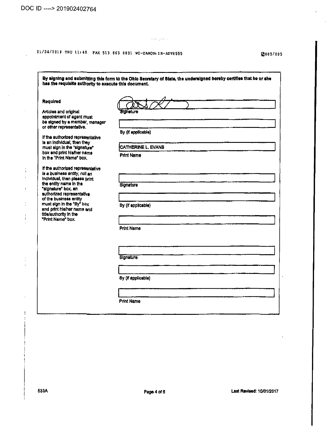$\sim$ 

 $\frac{1}{3}$ ÷

 $\bar{1}$ 

 $\frac{1}{3}$ 

 $\frac{1}{4}$ 

# 01/24/2019 THU 11:48 PAX 513 863 0031 WC-CANON: IR-ADV6555 **bluesses and the model of the model of the model of the model of the model of the model of the model of the model of the model of the model of the model of the**

| <b>Sidnature</b>   |
|--------------------|
|                    |
|                    |
| By (if applicable) |
|                    |
| CATHERINE L. EVANS |
| <b>Print Name</b>  |
|                    |
|                    |
|                    |
|                    |
| Signature          |
|                    |
| By (if applicable) |
|                    |
|                    |
|                    |
| <b>Print Name</b>  |
|                    |
|                    |
|                    |
| Signature          |
|                    |
|                    |
| By (if applicable) |
|                    |

 $\sigma$  or  $\tau_{\rm{max}}$  .

**Page 4 of 6 Last Revised: 10/01/2017**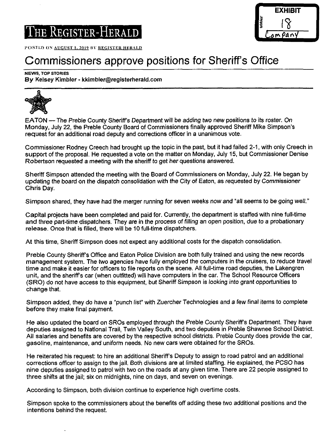

POSTED ON AUGUST 1, 2019 BY REGISTER HERALD

# Commissioners approve positions for Sheriff's Office

#### NEWS, TOP STORIES

By Kelsey Kimbler - kkimbler@registerherald.com



EATON — The Preble County Sheriff's Department will be adding two new positions to its roster. On Monday, July 22, the Preble County Board of Commissioners finally approved Sheriff Mike Simpson's request for an additional road deputy and corrections officer in a unanimous vote.

Commissioner Rodney Creech had brought up the topic in the past, but it had failed 2-1, with only Creech in support of the proposal. He requested a vote on the matter on Monday, July 15, but Commissioner Denise Robertson requested a meeting with the sheriff to get her questions answered.

Sheriff Simpson attended the meeting with the Board of Commissioners on Monday, July 22. He began by updating the board on the dispatch consolidation with the City of Eaton, as requested by Commissioner Chris Day.

Simpson shared, they have had the merger running for seven weeks now and "all seems to be going well."

Capital projects have been completed and paid for. Currently, the department is staffed with nine full-time and three part-time dispatchers. They are in the process of filling an open position, due to a probationary release. Once that is filled, there will be 10 full-time dispatchers.

At this time. Sheriff Simpson does not expect any additional costs for the dispatch consolidation.

Preble County Sheriff's Office and Eaton Police Division are both fully trained and using the new records management system. The two agencies have fully employed the computers in the cruisers, to reduce travel time and make it easier for officers to file reports on the scene. All full-time road deputies, the Lakengren unit, and the sheriff's car (when outfitted) will have computers in the car. The School Resource Officers (SRO) do not have access to this equipment, but Sheriff Simpson is looking into grant opportunities to change that.

Simpson added, they do have a "punch list" with Zuercher Technologies and a few final items to complete before they make final payment.

He also updated the board on SROs employed through the Preble County Sheriffs Department. They have deputies assigned to National Trail, Twin Valley South, and two deputies in Preble Shawnee School District. All salaries and benefits are covered by the respective school districts. Preble County does provide the car, gasoline, maintenance, and uniform needs. No new cars were obtained forthe SROs.

He reiterated his request: to hire an additional Sheriff's Deputy to assign to road patrol and an additional corrections officer to assign to the jail. Both divisions are at limited staffing. He explained, the PCSO has nine deputies assigned to patrol with two on the roads at any given time. There are 22 people assigned to three shifts at the jail; six on midnights, nine on days, and seven on evenings.

According to Simpson, both division continue to experience high overtime costs.

Simpson spoke to the commissioners about the benefits off adding these two additional positions and the intentions behind the request.